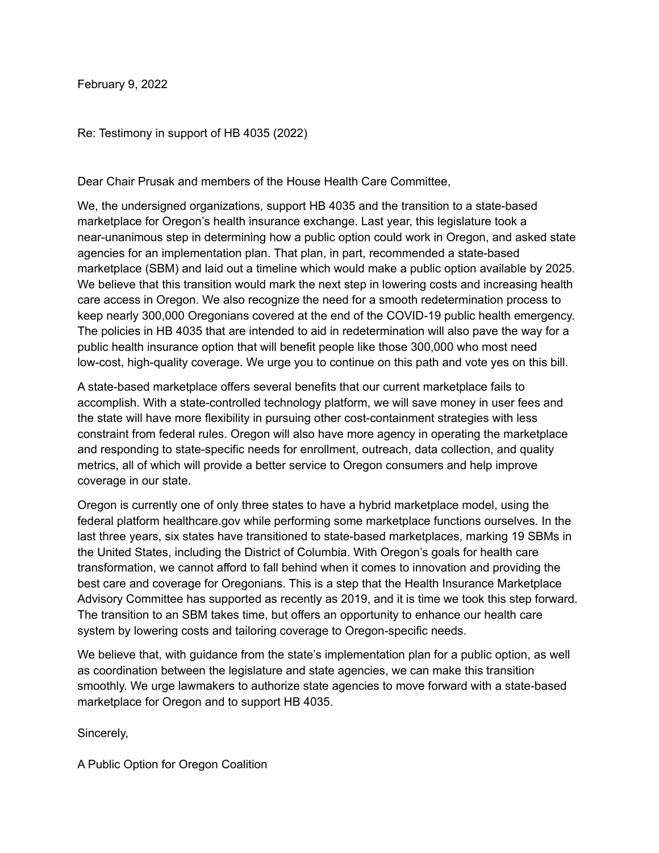February 9, 2022

Re: Testimony in support of HB 4035 (2022)

Dear Chair Prusak and members of the House Health Care Committee,

We, the undersigned organizations, support HB 4035 and the transition to a state-based marketplace for Oregon's health insurance exchange. Last year, this legislature took a near-unanimous step in determining how a public option could work in Oregon, and asked state agencies for an implementation plan. That plan, in part, recommended a state-based marketplace (SBM) and laid out a timeline which would make a public option available by 2025. We believe that this transition would mark the next step in lowering costs and increasing health care access in Oregon. We also recognize the need for a smooth redetermination process to keep nearly 300,000 Oregonians covered at the end of the COVID-19 public health emergency. The policies in HB 4035 that are intended to aid in redetermination will also pave the way for a public health insurance option that will benefit people like those 300,000 who most need low-cost, high-quality coverage. We urge you to continue on this path and vote yes on this bill.

A state-based marketplace offers several benefits that our current marketplace fails to accomplish. With a state-controlled technology platform, we will save money in user fees and the state will have more flexibility in pursuing other cost-containment strategies with less constraint from federal rules. Oregon will also have more agency in operating the marketplace and responding to state-specific needs for enrollment, outreach, data collection, and quality metrics, all of which will provide a better service to Oregon consumers and help improve coverage in our state.

Oregon is currently one of only three states to have a hybrid marketplace model, using the federal platform healthcare.gov while performing some marketplace functions ourselves. In the last three years, six states have transitioned to state-based marketplaces, marking 19 SBMs in the United States, including the District of Columbia. With Oregon's goals for health care transformation, we cannot afford to fall behind when it comes to innovation and providing the best care and coverage for Oregonians. This is a step that the Health Insurance Marketplace Advisory Committee has supported as recently as 2019, and it is time we took this step forward. The transition to an SBM takes time, but offers an opportunity to enhance our health care system by lowering costs and tailoring coverage to Oregon-specific needs.

We believe that, with guidance from the state's implementation plan for a public option, as well as coordination between the legislature and state agencies, we can make this transition smoothly. We urge lawmakers to authorize state agencies to move forward with a state-based marketplace for Oregon and to support HB 4035.

Sincerely,

A Public Option for Oregon Coalition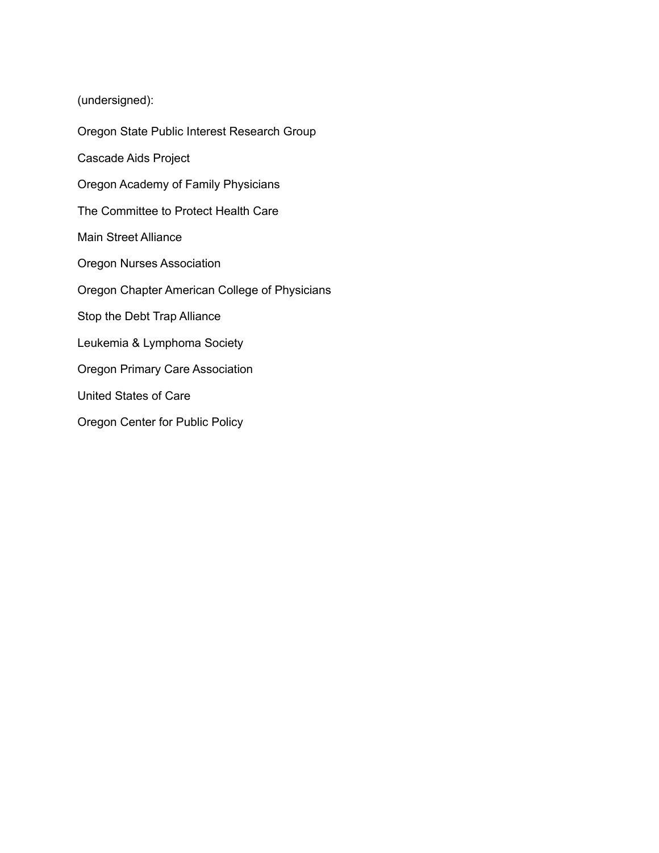(undersigned):

Oregon State Public Interest Research Group Cascade Aids Project Oregon Academy of Family Physicians The Committee to Protect Health Care Main Street Alliance Oregon Nurses Association Oregon Chapter American College of Physicians Stop the Debt Trap Alliance Leukemia & Lymphoma Society Oregon Primary Care Association United States of Care Oregon Center for Public Policy